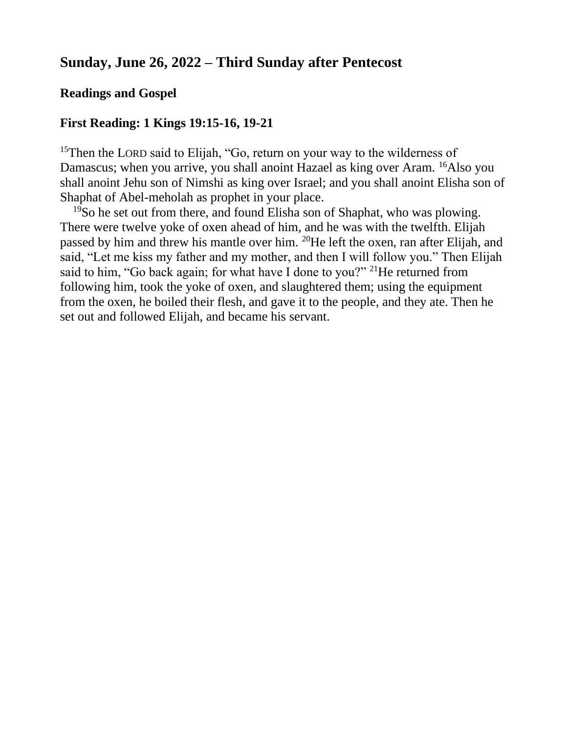# **Sunday, June 26, 2022 – Third Sunday after Pentecost**

# **Readings and Gospel**

### **First Reading: 1 Kings 19:15-16, 19-21**

<sup>15</sup>Then the LORD said to Elijah, "Go, return on your way to the wilderness of Damascus; when you arrive, you shall anoint Hazael as king over Aram. <sup>16</sup>Also you shall anoint Jehu son of Nimshi as king over Israel; and you shall anoint Elisha son of Shaphat of Abel-meholah as prophet in your place.

<sup>19</sup>So he set out from there, and found Elisha son of Shaphat, who was plowing. There were twelve yoke of oxen ahead of him, and he was with the twelfth. Elijah passed by him and threw his mantle over him. <sup>20</sup>He left the oxen, ran after Elijah, and said, "Let me kiss my father and my mother, and then I will follow you." Then Elijah said to him, "Go back again; for what have I done to you?" <sup>21</sup>He returned from following him, took the yoke of oxen, and slaughtered them; using the equipment from the oxen, he boiled their flesh, and gave it to the people, and they ate. Then he set out and followed Elijah, and became his servant.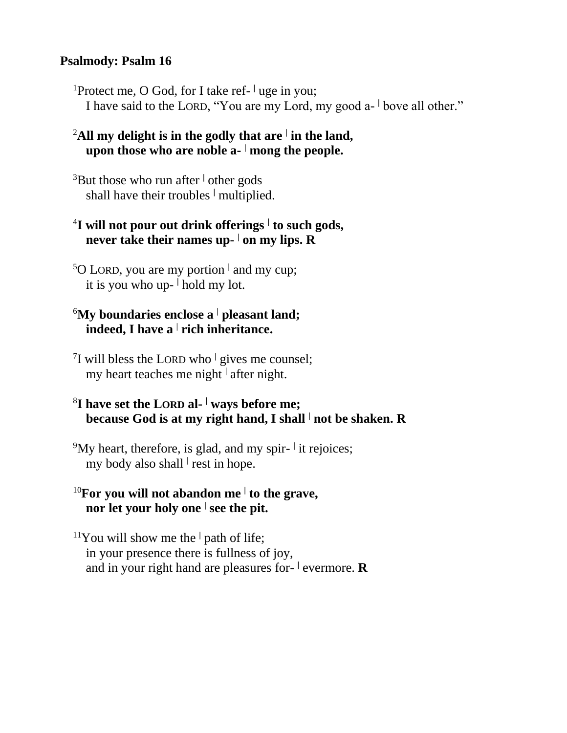### **Psalmody: Psalm 16**

<sup>1</sup>Protect me, O God, for I take ref- <sup>|</sup> uge in you; I have said to the LORD, "You are my Lord, my good a-<sup>1</sup> bove all other."

## $^2$ All my delight is in the godly that are  $\frac{1}{2}$  in the land, **upon those who are noble a- <sup>|</sup> mong the people.**

<sup>3</sup>But those who run after **<sup>|</sup>** other gods shall have their troubles **<sup>|</sup>** multiplied.

# 4 **I will not pour out drink offerings <sup>|</sup> to such gods, never take their names up- <sup>|</sup> on my lips. R**

<sup>5</sup>O LORD, you are my portion **<sup>|</sup>** and my cup; it is you who up- **<sup>|</sup>** hold my lot.

# <sup>6</sup>**My boundaries enclose a <sup>|</sup> pleasant land; indeed, I have a <sup>|</sup> rich inheritance.**

7 I will bless the LORD who **<sup>|</sup>** gives me counsel; my heart teaches me night **<sup>|</sup>** after night.

# 8 **I have set the LORD al- <sup>|</sup> ways before me; because God is at my right hand, I shall <sup>|</sup> not be shaken. R**

<sup>9</sup>My heart, therefore, is glad, and my spir- it rejoices; my body also shall **<sup>|</sup>** rest in hope.

# <sup>10</sup>**For you will not abandon me <sup>|</sup> to the grave, nor let your holy one <sup>|</sup> see the pit.**

<sup>11</sup>You will show me the  $\vert$  path of life; in your presence there is fullness of joy, and in your right hand are pleasures for- **|** evermore. **R**